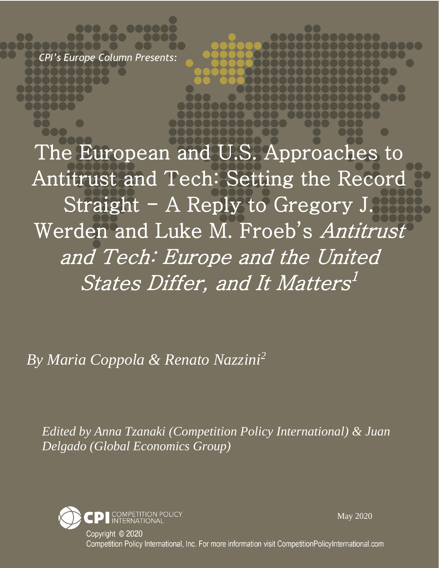*CPI's Europe Column Presents:*

The European and U.S. Approaches to Antitrust and Tech: Setting the Record Straight - A Reply to Gregory J. Werden and Luke M. Froeb's Antitrust and Tech: Europe and the United States Differ, and It Matters<sup>1</sup>

*By Maria Coppola & Renato Nazzini<sup>2</sup>*

*Edited by Anna Tzanaki (Competition Policy International) & Juan Delgado (Global Economics Group)*



May 2020

Copyright © 2020 Competition Policy International, Inc. For more information visit CompetitionPolicyInternational.com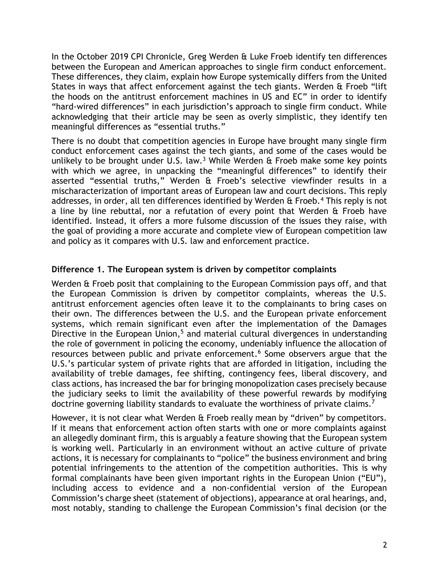In the October 2019 CPI Chronicle, Greg Werden & Luke Froeb identify ten differences between the European and American approaches to single firm conduct enforcement. These differences, they claim, explain how Europe systemically differs from the United States in ways that affect enforcement against the tech giants. Werden & Froeb "lift the hoods on the antitrust enforcement machines in US and EC" in order to identify "hard-wired differences" in each jurisdiction's approach to single firm conduct. While acknowledging that their article may be seen as overly simplistic, they identify ten meaningful differences as "essential truths."

There is no doubt that competition agencies in Europe have brought many single firm conduct enforcement cases against the tech giants, and some of the cases would be unlikely to be brought under U.S. law.<sup>3</sup> While Werden  $\hat{\alpha}$  Froeb make some key points with which we agree, in unpacking the "meaningful differences" to identify their asserted "essential truths," Werden & Froeb's selective viewfinder results in a mischaracterization of important areas of European law and court decisions. This reply addresses, in order, all ten differences identified by Werden  $\alpha$  Froeb.<sup>4</sup> This reply is not a line by line rebuttal, nor a refutation of every point that Werden & Froeb have identified. Instead, it offers a more fulsome discussion of the issues they raise, with the goal of providing a more accurate and complete view of European competition law and policy as it compares with U.S. law and enforcement practice.

### **Difference 1. The European system is driven by competitor complaints**

Werden & Froeb posit that complaining to the European Commission pays off, and that the European Commission is driven by competitor complaints, whereas the U.S. antitrust enforcement agencies often leave it to the complainants to bring cases on their own. The differences between the U.S. and the European private enforcement systems, which remain significant even after the implementation of the Damages Directive in the European Union, $5$  and material cultural divergences in understanding the role of government in policing the economy, undeniably influence the allocation of resources between public and private enforcement.<sup>6</sup> Some observers argue that the U.S.'s particular system of private rights that are afforded in litigation, including the availability of treble damages, fee shifting, contingency fees, liberal discovery, and class actions, has increased the bar for bringing monopolization cases precisely because the judiciary seeks to limit the availability of these powerful rewards by modifying doctrine governing liability standards to evaluate the worthiness of private claims.<sup>7</sup>

However, it is not clear what Werden & Froeb really mean by "driven" by competitors. If it means that enforcement action often starts with one or more complaints against an allegedly dominant firm, this is arguably a feature showing that the European system is working well. Particularly in an environment without an active culture of private actions, it is necessary for complainants to "police" the business environment and bring potential infringements to the attention of the competition authorities. This is why formal complainants have been given important rights in the European Union ("EU"), including access to evidence and a non-confidential version of the European Commission's charge sheet (statement of objections), appearance at oral hearings, and, most notably, standing to challenge the European Commission's final decision (or the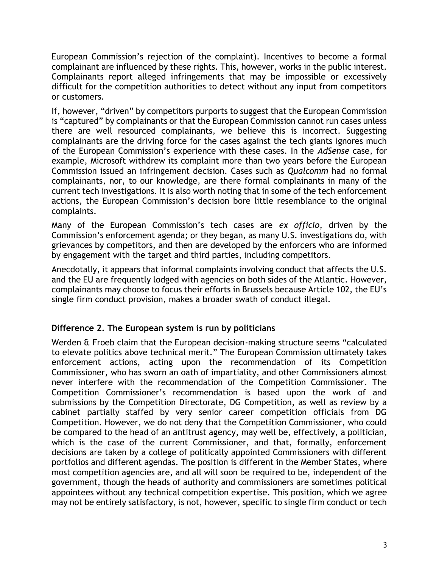European Commission's rejection of the complaint). Incentives to become a formal complainant are influenced by these rights. This, however, works in the public interest. Complainants report alleged infringements that may be impossible or excessively difficult for the competition authorities to detect without any input from competitors or customers.

If, however, "driven" by competitors purports to suggest that the European Commission is "captured" by complainants or that the European Commission cannot run cases unless there are well resourced complainants, we believe this is incorrect. Suggesting complainants are the driving force for the cases against the tech giants ignores much of the European Commission's experience with these cases. In the *AdSense* case, for example, Microsoft withdrew its complaint more than two years before the European Commission issued an infringement decision. Cases such as *Qualcomm* had no formal complainants, nor, to our knowledge, are there formal complainants in many of the current tech investigations. It is also worth noting that in some of the tech enforcement actions, the European Commission's decision bore little resemblance to the original complaints.

Many of the European Commission's tech cases are *ex officio*, driven by the Commission's enforcement agenda; or they began, as many U.S. investigations do, with grievances by competitors, and then are developed by the enforcers who are informed by engagement with the target and third parties, including competitors.

Anecdotally, it appears that informal complaints involving conduct that affects the U.S. and the EU are frequently lodged with agencies on both sides of the Atlantic. However, complainants may choose to focus their efforts in Brussels because Article 102, the EU's single firm conduct provision, makes a broader swath of conduct illegal.

# **Difference 2. The European system is run by politicians**

Werden & Froeb claim that the European decision-making structure seems "calculated to elevate politics above technical merit." The European Commission ultimately takes enforcement actions, acting upon the recommendation of its Competition Commissioner, who has sworn an oath of impartiality, and other Commissioners almost never interfere with the recommendation of the Competition Commissioner. The Competition Commissioner's recommendation is based upon the work of and submissions by the Competition Directorate, DG Competition, as well as review by a cabinet partially staffed by very senior career competition officials from DG Competition. However, we do not deny that the Competition Commissioner, who could be compared to the head of an antitrust agency, may well be, effectively, a politician, which is the case of the current Commissioner, and that, formally, enforcement decisions are taken by a college of politically appointed Commissioners with different portfolios and different agendas. The position is different in the Member States, where most competition agencies are, and all will soon be required to be, independent of the government, though the heads of authority and commissioners are sometimes political appointees without any technical competition expertise. This position, which we agree may not be entirely satisfactory, is not, however, specific to single firm conduct or tech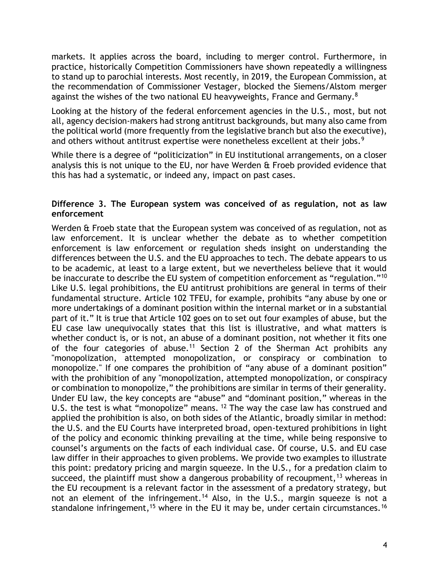markets. It applies across the board, including to merger control. Furthermore, in practice, historically Competition Commissioners have shown repeatedly a willingness to stand up to parochial interests. Most recently, in 2019, the European Commission, at the recommendation of Commissioner Vestager, blocked the Siemens/Alstom merger against the wishes of the two national EU heavyweights, France and Germany. $8$ 

Looking at the history of the federal enforcement agencies in the U.S., most, but not all, agency decision-makers had strong antitrust backgrounds, but many also came from the political world (more frequently from the legislative branch but also the executive), and others without antitrust expertise were nonetheless excellent at their jobs.<sup>9</sup>

While there is a degree of "politicization" in EU institutional arrangements, on a closer analysis this is not unique to the EU, nor have Werden & Froeb provided evidence that this has had a systematic, or indeed any, impact on past cases.

### **Difference 3. The European system was conceived of as regulation, not as law enforcement**

Werden & Froeb state that the European system was conceived of as regulation, not as law enforcement. It is unclear whether the debate as to whether competition enforcement is law enforcement or regulation sheds insight on understanding the differences between the U.S. and the EU approaches to tech. The debate appears to us to be academic, at least to a large extent, but we nevertheless believe that it would be inaccurate to describe the EU system of competition enforcement as "regulation."<sup>10</sup> Like U.S. legal prohibitions, the EU antitrust prohibitions are general in terms of their fundamental structure. Article 102 TFEU, for example, prohibits "any abuse by one or more undertakings of a dominant position within the internal market or in a substantial part of it." It is true that Article 102 goes on to set out four examples of abuse, but the EU case law unequivocally states that this list is illustrative, and what matters is whether conduct is, or is not, an abuse of a dominant position, not whether it fits one of the four categories of abuse.<sup>11</sup> Section 2 of the Sherman Act prohibits any "monopolization, attempted monopolization, or conspiracy or combination to monopolize." If one compares the prohibition of "any abuse of a dominant position" with the prohibition of any "monopolization, attempted monopolization, or conspiracy or combination to monopolize," the prohibitions are similar in terms of their generality. Under EU law, the key concepts are "abuse" and "dominant position," whereas in the U.S. the test is what "monopolize" means. <sup>12</sup> The way the case law has construed and applied the prohibition is also, on both sides of the Atlantic, broadly similar in method: the U.S. and the EU Courts have interpreted broad, open-textured prohibitions in light of the policy and economic thinking prevailing at the time, while being responsive to counsel's arguments on the facts of each individual case. Of course, U.S. and EU case law differ in their approaches to given problems. We provide two examples to illustrate this point: predatory pricing and margin squeeze. In the U.S., for a predation claim to succeed, the plaintiff must show a dangerous probability of recoupment,  $13$  whereas in the EU recoupment is a relevant factor in the assessment of a predatory strategy, but not an element of the infringement.<sup>14</sup> Also, in the U.S., margin squeeze is not a standalone infringement,<sup>15</sup> where in the EU it may be, under certain circumstances.<sup>16</sup>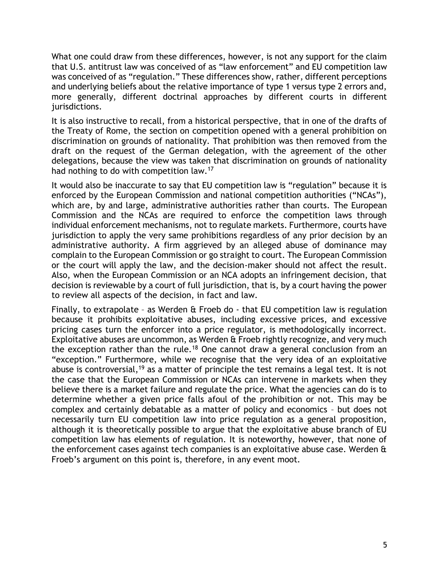What one could draw from these differences, however, is not any support for the claim that U.S. antitrust law was conceived of as "law enforcement" and EU competition law was conceived of as "regulation." These differences show, rather, different perceptions and underlying beliefs about the relative importance of type 1 versus type 2 errors and, more generally, different doctrinal approaches by different courts in different jurisdictions.

It is also instructive to recall, from a historical perspective, that in one of the drafts of the Treaty of Rome, the section on competition opened with a general prohibition on discrimination on grounds of nationality. That prohibition was then removed from the draft on the request of the German delegation, with the agreement of the other delegations, because the view was taken that discrimination on grounds of nationality had nothing to do with competition law.<sup>17</sup>

It would also be inaccurate to say that EU competition law is "regulation" because it is enforced by the European Commission and national competition authorities ("NCAs"), which are, by and large, administrative authorities rather than courts. The European Commission and the NCAs are required to enforce the competition laws through individual enforcement mechanisms, not to regulate markets. Furthermore, courts have jurisdiction to apply the very same prohibitions regardless of any prior decision by an administrative authority. A firm aggrieved by an alleged abuse of dominance may complain to the European Commission or go straight to court. The European Commission or the court will apply the law, and the decision-maker should not affect the result. Also, when the European Commission or an NCA adopts an infringement decision, that decision is reviewable by a court of full jurisdiction, that is, by a court having the power to review all aspects of the decision, in fact and law.

Finally, to extrapolate – as Werden & Froeb do - that EU competition law is regulation because it prohibits exploitative abuses, including excessive prices, and excessive pricing cases turn the enforcer into a price regulator, is methodologically incorrect. Exploitative abuses are uncommon, as Werden & Froeb rightly recognize, and very much the exception rather than the rule.<sup>18</sup> One cannot draw a general conclusion from an "exception." Furthermore, while we recognise that the very idea of an exploitative abuse is controversial,<sup>19</sup> as a matter of principle the test remains a legal test. It is not the case that the European Commission or NCAs can intervene in markets when they believe there is a market failure and regulate the price. What the agencies can do is to determine whether a given price falls afoul of the prohibition or not. This may be complex and certainly debatable as a matter of policy and economics – but does not necessarily turn EU competition law into price regulation as a general proposition, although it is theoretically possible to argue that the exploitative abuse branch of EU competition law has elements of regulation. It is noteworthy, however, that none of the enforcement cases against tech companies is an exploitative abuse case. Werden & Froeb's argument on this point is, therefore, in any event moot.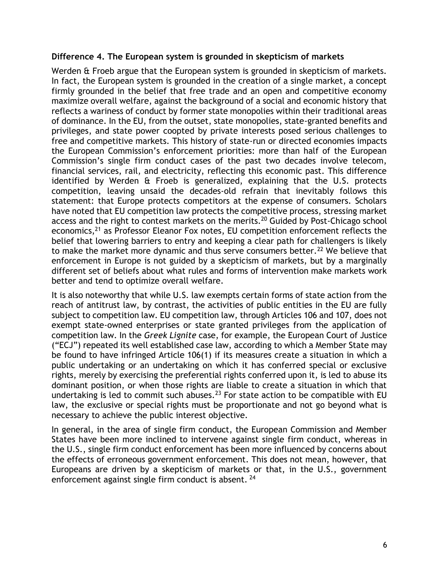### **Difference 4. The European system is grounded in skepticism of markets**

Werden & Froeb argue that the European system is grounded in skepticism of markets. In fact, the European system is grounded in the creation of a single market, a concept firmly grounded in the belief that free trade and an open and competitive economy maximize overall welfare, against the background of a social and economic history that reflects a wariness of conduct by former state monopolies within their traditional areas of dominance. In the EU, from the outset, state monopolies, state-granted benefits and privileges, and state power coopted by private interests posed serious challenges to free and competitive markets. This history of state-run or directed economies impacts the European Commission's enforcement priorities: more than half of the European Commission's single firm conduct cases of the past two decades involve telecom, financial services, rail, and electricity, reflecting this economic past. This difference identified by Werden & Froeb is generalized, explaining that the U.S. protects competition, leaving unsaid the decades-old refrain that inevitably follows this statement: that Europe protects competitors at the expense of consumers. Scholars have noted that EU competition law protects the competitive process, stressing market access and the right to contest markets on the merits.<sup>20</sup> Guided by Post-Chicago school economics,<sup>21</sup> as Professor Eleanor Fox notes, EU competition enforcement reflects the belief that lowering barriers to entry and keeping a clear path for challengers is likely to make the market more dynamic and thus serve consumers better.<sup>22</sup> We believe that enforcement in Europe is not guided by a skepticism of markets, but by a marginally different set of beliefs about what rules and forms of intervention make markets work better and tend to optimize overall welfare.

It is also noteworthy that while U.S. law exempts certain forms of state action from the reach of antitrust law, by contrast, the activities of public entities in the EU are fully subject to competition law. EU competition law, through Articles 106 and 107, does not exempt state-owned enterprises or state granted privileges from the application of competition law. In the *Greek Lignite* case, for example, the European Court of Justice ("ECJ") repeated its well established case law, according to which a Member State may be found to have infringed Article 106(1) if its measures create a situation in which a public undertaking or an undertaking on which it has conferred special or exclusive rights, merely by exercising the preferential rights conferred upon it, is led to abuse its dominant position, or when those rights are liable to create a situation in which that undertaking is led to commit such abuses.<sup>23</sup> For state action to be compatible with EU law, the exclusive or special rights must be proportionate and not go beyond what is necessary to achieve the public interest objective.

In general, in the area of single firm conduct, the European Commission and Member States have been more inclined to intervene against single firm conduct, whereas in the U.S., single firm conduct enforcement has been more influenced by concerns about the effects of erroneous government enforcement. This does not mean, however, that Europeans are driven by a skepticism of markets or that, in the U.S., government enforcement against single firm conduct is absent. <sup>24</sup>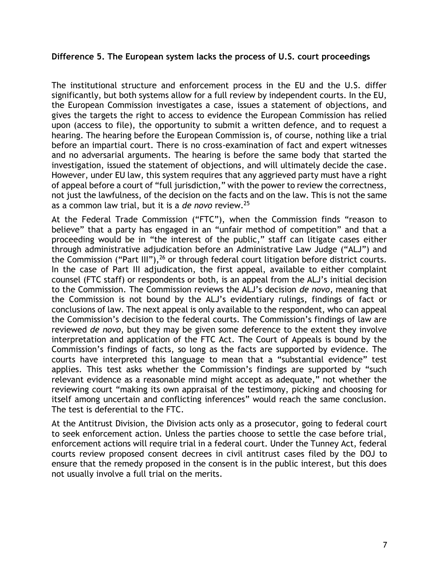#### **Difference 5. The European system lacks the process of U.S. court proceedings**

The institutional structure and enforcement process in the EU and the U.S. differ significantly, but both systems allow for a full review by independent courts. In the EU, the European Commission investigates a case, issues a statement of objections, and gives the targets the right to access to evidence the European Commission has relied upon (access to file), the opportunity to submit a written defence, and to request a hearing. The hearing before the European Commission is, of course, nothing like a trial before an impartial court. There is no cross-examination of fact and expert witnesses and no adversarial arguments. The hearing is before the same body that started the investigation, issued the statement of objections, and will ultimately decide the case. However, under EU law, this system requires that any aggrieved party must have a right of appeal before a court of "full jurisdiction," with the power to review the correctness, not just the lawfulness, of the decision on the facts and on the law. This is not the same as a common law trial, but it is a *de novo* review.<sup>25</sup>

At the Federal Trade Commission ("FTC"), when the Commission finds "reason to believe" that a party has engaged in an "unfair method of competition" and that a proceeding would be in "the interest of the public," staff can litigate cases either through administrative adjudication before an Administrative Law Judge ("ALJ") and the Commission ("Part III"),  $26$  or through federal court litigation before district courts. In the case of Part III adjudication, the first appeal, available to either complaint counsel (FTC staff) or respondents or both, is an appeal from the ALJ's initial decision to the Commission. The Commission reviews the ALJ's decision *de novo*, meaning that the Commission is not bound by the ALJ's evidentiary rulings, findings of fact or conclusions of law. The next appeal is only available to the respondent, who can appeal the Commission's decision to the federal courts. The Commission's findings of law are reviewed *de novo*, but they may be given some deference to the extent they involve interpretation and application of the FTC Act. The Court of Appeals is bound by the Commission's findings of facts, so long as the facts are supported by evidence. The courts have interpreted this language to mean that a "substantial evidence" test applies. This test asks whether the Commission's findings are supported by "such relevant evidence as a reasonable mind might accept as adequate," not whether the reviewing court "making its own appraisal of the testimony, picking and choosing for itself among uncertain and conflicting inferences" would reach the same conclusion. The test is deferential to the FTC.

At the Antitrust Division, the Division acts only as a prosecutor, going to federal court to seek enforcement action. Unless the parties choose to settle the case before trial, enforcement actions will require trial in a federal court. Under the Tunney Act, federal courts review proposed consent decrees in civil antitrust cases filed by the DOJ to ensure that the remedy proposed in the consent is in the public interest, but this does not usually involve a full trial on the merits.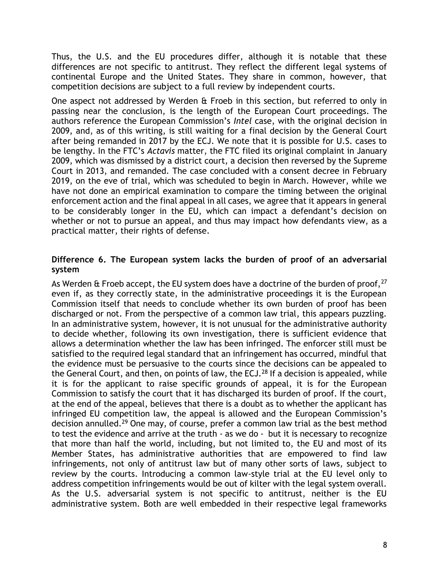Thus, the U.S. and the EU procedures differ, although it is notable that these differences are not specific to antitrust. They reflect the different legal systems of continental Europe and the United States. They share in common, however, that competition decisions are subject to a full review by independent courts.

One aspect not addressed by Werden & Froeb in this section, but referred to only in passing near the conclusion, is the length of the European Court proceedings. The authors reference the European Commission's *Intel* case, with the original decision in 2009, and, as of this writing, is still waiting for a final decision by the General Court after being remanded in 2017 by the ECJ. We note that it is possible for U.S. cases to be lengthy. In the FTC's *Actavis* matter, the FTC filed its original complaint in January 2009, which was dismissed by a district court, a decision then reversed by the Supreme Court in 2013, and remanded. The case concluded with a consent decree in February 2019, on the eve of trial, which was scheduled to begin in March. However, while we have not done an empirical examination to compare the timing between the original enforcement action and the final appeal in all cases, we agree that it appears in general to be considerably longer in the EU, which can impact a defendant's decision on whether or not to pursue an appeal, and thus may impact how defendants view, as a practical matter, their rights of defense.

### **Difference 6. The European system lacks the burden of proof of an adversarial system**

As Werden  $\alpha$  Froeb accept, the EU system does have a doctrine of the burden of proof,  $27$ even if, as they correctly state, in the administrative proceedings it is the European Commission itself that needs to conclude whether its own burden of proof has been discharged or not. From the perspective of a common law trial, this appears puzzling. In an administrative system, however, it is not unusual for the administrative authority to decide whether, following its own investigation, there is sufficient evidence that allows a determination whether the law has been infringed. The enforcer still must be satisfied to the required legal standard that an infringement has occurred, mindful that the evidence must be persuasive to the courts since the decisions can be appealed to the General Court, and then, on points of law, the ECJ.<sup>28</sup> If a decision is appealed, while it is for the applicant to raise specific grounds of appeal, it is for the European Commission to satisfy the court that it has discharged its burden of proof. If the court, at the end of the appeal, believes that there is a doubt as to whether the applicant has infringed EU competition law, the appeal is allowed and the European Commission's decision annulled.<sup>29</sup> One may, of course, prefer a common law trial as the best method to test the evidence and arrive at the truth - as we do - but it is necessary to recognize that more than half the world, including, but not limited to, the EU and most of its Member States, has administrative authorities that are empowered to find law infringements, not only of antitrust law but of many other sorts of laws, subject to review by the courts. Introducing a common law-style trial at the EU level only to address competition infringements would be out of kilter with the legal system overall. As the U.S. adversarial system is not specific to antitrust, neither is the EU administrative system. Both are well embedded in their respective legal frameworks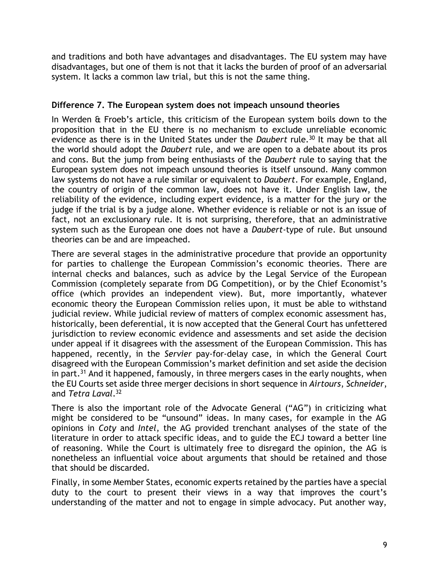and traditions and both have advantages and disadvantages. The EU system may have disadvantages, but one of them is not that it lacks the burden of proof of an adversarial system. It lacks a common law trial, but this is not the same thing.

### **Difference 7. The European system does not impeach unsound theories**

In Werden & Froeb's article, this criticism of the European system boils down to the proposition that in the EU there is no mechanism to exclude unreliable economic evidence as there is in the United States under the *Daubert* rule.<sup>30</sup> It may be that all the world should adopt the *Daubert* rule, and we are open to a debate about its pros and cons. But the jump from being enthusiasts of the *Daubert* rule to saying that the European system does not impeach unsound theories is itself unsound. Many common law systems do not have a rule similar or equivalent to *Daubert*. For example, England, the country of origin of the common law, does not have it. Under English law, the reliability of the evidence, including expert evidence, is a matter for the jury or the judge if the trial is by a judge alone. Whether evidence is reliable or not is an issue of fact, not an exclusionary rule. It is not surprising, therefore, that an administrative system such as the European one does not have a *Daubert*-type of rule. But unsound theories can be and are impeached.

There are several stages in the administrative procedure that provide an opportunity for parties to challenge the European Commission's economic theories. There are internal checks and balances, such as advice by the Legal Service of the European Commission (completely separate from DG Competition), or by the Chief Economist's office (which provides an independent view). But, more importantly, whatever economic theory the European Commission relies upon, it must be able to withstand judicial review. While judicial review of matters of complex economic assessment has, historically, been deferential, it is now accepted that the General Court has unfettered jurisdiction to review economic evidence and assessments and set aside the decision under appeal if it disagrees with the assessment of the European Commission. This has happened, recently, in the *Servier* pay-for-delay case, in which the General Court disagreed with the European Commission's market definition and set aside the decision in part.<sup>31</sup> And it happened, famously, in three mergers cases in the early noughts, when the EU Courts set aside three merger decisions in short sequence in *Airtours*, *Schneider*, and *Tetra Laval*. 32

There is also the important role of the Advocate General ("AG") in criticizing what might be considered to be "unsound" ideas. In many cases, for example in the AG opinions in *Coty* and *Intel*, the AG provided trenchant analyses of the state of the literature in order to attack specific ideas, and to guide the ECJ toward a better line of reasoning. While the Court is ultimately free to disregard the opinion, the AG is nonetheless an influential voice about arguments that should be retained and those that should be discarded.

Finally, in some Member States, economic experts retained by the parties have a special duty to the court to present their views in a way that improves the court's understanding of the matter and not to engage in simple advocacy. Put another way,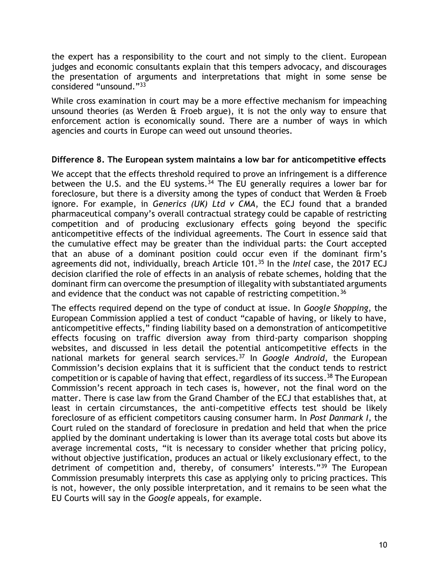the expert has a responsibility to the court and not simply to the client. European judges and economic consultants explain that this tempers advocacy, and discourages the presentation of arguments and interpretations that might in some sense be considered "unsound."<sup>33</sup>

While cross examination in court may be a more effective mechanism for impeaching unsound theories (as Werden & Froeb argue), it is not the only way to ensure that enforcement action is economically sound. There are a number of ways in which agencies and courts in Europe can weed out unsound theories.

#### **Difference 8. The European system maintains a low bar for anticompetitive effects**

We accept that the effects threshold required to prove an infringement is a difference between the U.S. and the EU systems.<sup>34</sup> The EU generally requires a lower bar for foreclosure, but there is a diversity among the types of conduct that Werden & Froeb ignore. For example, in *Generics (UK) Ltd v CMA*, the ECJ found that a branded pharmaceutical company's overall contractual strategy could be capable of restricting competition and of producing exclusionary effects going beyond the specific anticompetitive effects of the individual agreements. The Court in essence said that the cumulative effect may be greater than the individual parts: the Court accepted that an abuse of a dominant position could occur even if the dominant firm's agreements did not, individually, breach Article 101.<sup>35</sup> In the *Intel* case, the 2017 ECJ decision clarified the role of effects in an analysis of rebate schemes, holding that the dominant firm can overcome the presumption of illegality with substantiated arguments and evidence that the conduct was not capable of restricting competition.<sup>36</sup>

The effects required depend on the type of conduct at issue. In *Google Shopping*, the European Commission applied a test of conduct "capable of having, or likely to have, anticompetitive effects," finding liability based on a demonstration of anticompetitive effects focusing on traffic diversion away from third-party comparison shopping websites, and discussed in less detail the potential anticompetitive effects in the national markets for general search services.<sup>37</sup> In *Google Android*, the European Commission's decision explains that it is sufficient that the conduct tends to restrict competition or is capable of having that effect, regardless of its success.<sup>38</sup> The European Commission's recent approach in tech cases is, however, not the final word on the matter. There is case law from the Grand Chamber of the ECJ that establishes that, at least in certain circumstances, the anti-competitive effects test should be likely foreclosure of as efficient competitors causing consumer harm. In *Post Danmark I*, the Court ruled on the standard of foreclosure in predation and held that when the price applied by the dominant undertaking is lower than its average total costs but above its average incremental costs, "it is necessary to consider whether that pricing policy, without objective justification, produces an actual or likely exclusionary effect, to the detriment of competition and, thereby, of consumers' interests."<sup>39</sup> The European Commission presumably interprets this case as applying only to pricing practices. This is not, however, the only possible interpretation, and it remains to be seen what the EU Courts will say in the *Google* appeals, for example.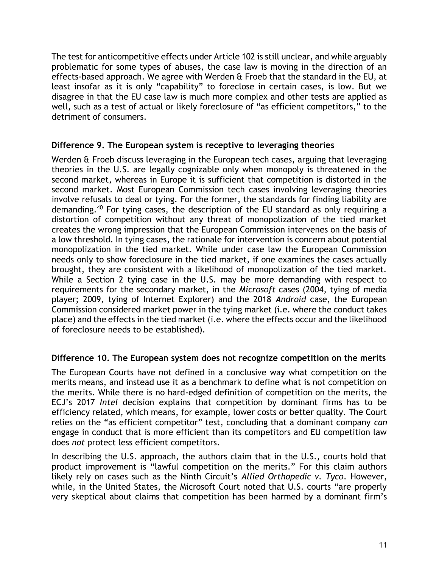The test for anticompetitive effects under Article 102 is still unclear, and while arguably problematic for some types of abuses, the case law is moving in the direction of an effects-based approach. We agree with Werden & Froeb that the standard in the EU, at least insofar as it is only "capability" to foreclose in certain cases, is low. But we disagree in that the EU case law is much more complex and other tests are applied as well, such as a test of actual or likely foreclosure of "as efficient competitors," to the detriment of consumers.

### **Difference 9. The European system is receptive to leveraging theories**

Werden & Froeb discuss leveraging in the European tech cases, arguing that leveraging theories in the U.S. are legally cognizable only when monopoly is threatened in the second market, whereas in Europe it is sufficient that competition is distorted in the second market. Most European Commission tech cases involving leveraging theories involve refusals to deal or tying. For the former, the standards for finding liability are demanding.<sup>40</sup> For tying cases, the description of the EU standard as only requiring a distortion of competition without any threat of monopolization of the tied market creates the wrong impression that the European Commission intervenes on the basis of a low threshold. In tying cases, the rationale for intervention is concern about potential monopolization in the tied market. While under case law the European Commission needs only to show foreclosure in the tied market, if one examines the cases actually brought, they are consistent with a likelihood of monopolization of the tied market. While a Section 2 tying case in the U.S. may be more demanding with respect to requirements for the secondary market, in the *Microsoft* cases (2004, tying of media player; 2009, tying of Internet Explorer) and the 2018 *Android* case, the European Commission considered market power in the tying market (i.e. where the conduct takes place) and the effects in the tied market (i.e. where the effects occur and the likelihood of foreclosure needs to be established).

## **Difference 10. The European system does not recognize competition on the merits**

The European Courts have not defined in a conclusive way what competition on the merits means, and instead use it as a benchmark to define what is not competition on the merits. While there is no hard-edged definition of competition on the merits, the ECJ's 2017 *Intel* decision explains that competition by dominant firms has to be efficiency related, which means, for example, lower costs or better quality. The Court relies on the "as efficient competitor" test, concluding that a dominant company *can* engage in conduct that is more efficient than its competitors and EU competition law does *not* protect less efficient competitors.

In describing the U.S. approach, the authors claim that in the U.S., courts hold that product improvement is "lawful competition on the merits." For this claim authors likely rely on cases such as the Ninth Circuit's *Allied Orthopedic v. Tyco*. However, while, in the United States, the Microsoft Court noted that U.S. courts "are properly very skeptical about claims that competition has been harmed by a dominant firm's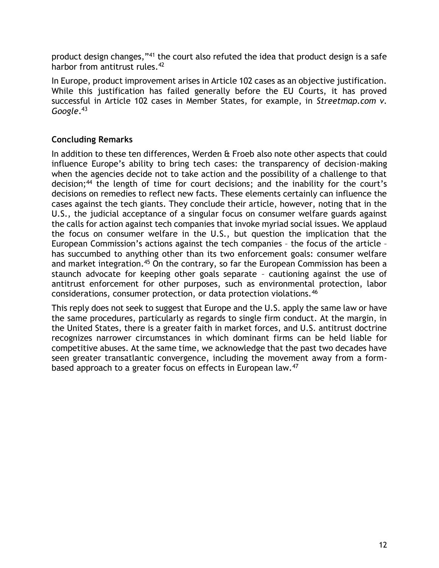product design changes,"<sup>41</sup> the court also refuted the idea that product design is a safe harbor from antitrust rules.<sup>42</sup>

In Europe, product improvement arises in Article 102 cases as an objective justification. While this justification has failed generally before the EU Courts, it has proved successful in Article 102 cases in Member States, for example, in *Streetmap.com v. Google*. 43

# **Concluding Remarks**

In addition to these ten differences, Werden & Froeb also note other aspects that could influence Europe's ability to bring tech cases: the transparency of decision-making when the agencies decide not to take action and the possibility of a challenge to that decision;<sup>44</sup> the length of time for court decisions; and the inability for the court's decisions on remedies to reflect new facts. These elements certainly can influence the cases against the tech giants. They conclude their article, however, noting that in the U.S., the judicial acceptance of a singular focus on consumer welfare guards against the calls for action against tech companies that invoke myriad social issues. We applaud the focus on consumer welfare in the U.S., but question the implication that the European Commission's actions against the tech companies – the focus of the article – has succumbed to anything other than its two enforcement goals: consumer welfare and market integration.<sup>45</sup> On the contrary, so far the European Commission has been a staunch advocate for keeping other goals separate – cautioning against the use of antitrust enforcement for other purposes, such as environmental protection, labor considerations, consumer protection, or data protection violations.<sup>46</sup>

This reply does not seek to suggest that Europe and the U.S. apply the same law or have the same procedures, particularly as regards to single firm conduct. At the margin, in the United States, there is a greater faith in market forces, and U.S. antitrust doctrine recognizes narrower circumstances in which dominant firms can be held liable for competitive abuses. At the same time, we acknowledge that the past two decades have seen greater transatlantic convergence, including the movement away from a formbased approach to a greater focus on effects in European law.<sup>47</sup>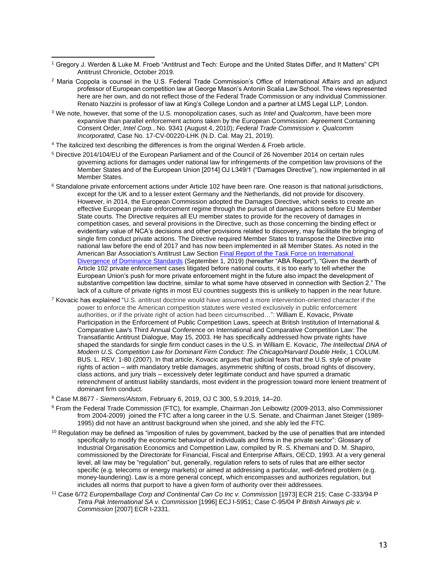- <sup>1</sup> Gregory J. Werden & Luke M. Froeb "Antitrust and Tech: Europe and the United States Differ, and It Matters" CPI Antitrust Chronicle, October 2019.
- <sup>2</sup> Maria Coppola is counsel in the U.S. Federal Trade Commission's Office of International Affairs and an adjunct professor of European competition law at George Mason's Antonin Scalia Law School. The views represented here are her own, and do not reflect those of the Federal Trade Commission or any individual Commissioner. Renato Nazzini is professor of law at King's College London and a partner at LMS Legal LLP, London.
- <sup>3</sup> We note, however, that some of the U.S. monopolization cases, such as *Intel* and *Qualcomm*, have been more expansive than parallel enforcement actions taken by the European Commission: Agreement Containing Consent Order, *Intel Corp.*, No. 9341 (August 4, 2010); *Federal Trade Commission v. Qualcomm Incorporated*, Case No. 17-CV-00220-LHK (N.D. Cal. May 21, 2019).
- <sup>4</sup> The italicized text describing the differences is from the original Werden & Froeb article.
- <sup>5</sup> Directive 2014/104/EU of the European Parliament and of the Council of 26 November 2014 on certain rules governing actions for damages under national law for infringements of the competition law provisions of the Member States and of the European Union [2014] OJ L349/1 ("Damages Directive"), now implemented in all Member States.
- $6$  Standalone private enforcement actions under Article 102 have been rare. One reason is that national jurisdictions, except for the UK and to a lesser extent Germany and the Netherlands, did not provide for discovery. However, in 2014, the European Commission adopted the Damages Directive, which seeks to create an effective European private enforcement regime through the pursuit of damages actions before EU Member State courts. The Directive requires all EU member states to provide for the recovery of damages in competition cases, and several provisions in the Directive, such as those concerning the binding effect or evidentiary value of NCA's decisions and other provisions related to discovery, may facilitate the bringing of single firm conduct private actions. The Directive required Member States to transpose the Directive into national law before the end of 2017 and has now been implemented in all Member States. As noted in the American Bar Association's Antitrust Law Section [Final Report of the Task Force on International](https://www.americanbar.org/content/dam/aba/administrative/antitrust_law/comments/october-2019/report-sal-dominance-divergence-10112019.pdf)  [Divergence of Dominance Standards](https://www.americanbar.org/content/dam/aba/administrative/antitrust_law/comments/october-2019/report-sal-dominance-divergence-10112019.pdf) (September 1, 2019) (hereafter "ABA Report"), "Given the dearth of Article 102 private enforcement cases litigated before national courts, it is too early to tell whether the European Union's push for more private enforcement might in the future also impact the development of substantive competition law doctrine, similar to what some have observed in connection with Section 2." The lack of a culture of private rights in most EU countries suggests this is unlikely to happen in the near future.
- <sup>7</sup> Kovacic has explained "U.S. antitrust doctrine would have assumed a more intervention-oriented character if the power to enforce the American competition statutes were vested exclusively in public enforcement authorities, or if the private right of action had been circumscribed…": William E. Kovacic, Private Participation in the Enforcement of Public Competition Laws, speech at British Institution of International & Comparative Law's Third Annual Conference on International and Comparative Competition Law: The Transatlantic Antitrust Dialogue, May 15, 2003. He has specifically addressed how private rights have shaped the standards for single firm conduct cases in the U.S. in William E. Kovacic, *The Intellectual DNA of Modern U.S. Competition Law for Dominant Firm Conduct: The Chicago/Harvard Double Helix*, 1 COLUM. BUS. L. REV. 1-80 (2007). In that article, Kovacic argues that judicial fears that the U.S. style of private rights of action – with mandatory treble damages, asymmetric shifting of costs, broad rights of discovery, class actions, and jury trials – excessively deter legitimate conduct and have spurred a dramatic retrenchment of antitrust liability standards, most evident in the progression toward more lenient treatment of dominant firm conduct.
- <sup>8</sup> Case M.8677 *Siemens/Alstom*, February 6, 2019, OJ C 300, 5.9.2019, 14–20.
- <sup>9</sup> From the Federal Trade Commission (FTC), for example, Chairman Jon Leibowitz (2009-2013, also Commissioner from 2004-2009) joined the FTC after a long career in the U.S. Senate, and Chairman Janet Steiger (1989- 1995) did not have an antitrust background when she joined, and she ably led the FTC.
- $10$  Regulation may be defined as "imposition of rules by government, backed by the use of penalties that are intended specifically to modify the economic behaviour of individuals and firms in the private sector": Glossary of Industrial Organisation Economics and Competition Law, compiled by R. S. Khemani and D. M. Shapiro, commissioned by the Directorate for Financial, Fiscal and Enterprise Affairs, OECD, 1993. At a very general level, all law may be "regulation" but, generally, regulation refers to sets of rules that are either sector specific (e.g. telecoms or energy markets) or aimed at addressing a particular, well-defined problem (e.g. money-laundering). Law is a more general concept, which encompasses and authorizes regulation, but includes all norms that purport to have a given form of authority over their addressees.
- <sup>11</sup> Case 6/72 *Europemballage Corp and Continental Can Co Inc v. Commission* [1973] ECR 215; Case C-333/94 P *Tetra Pak International SA v. Commission* [1996] ECJ I-5951; Case C-95/04 P *British Airways plc v. Commission* [2007] ECR I-2331.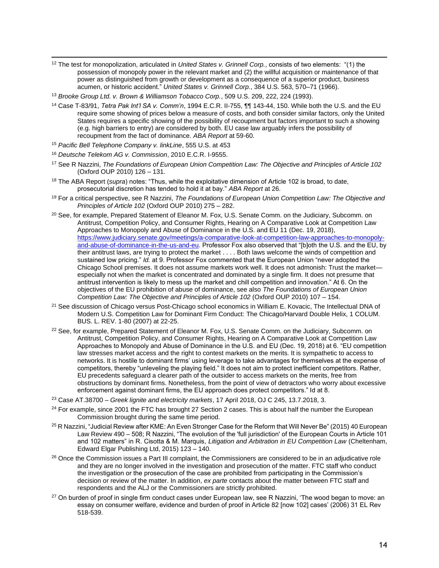- <sup>12</sup> The test for monopolization, articulated in *United States v. Grinnell Corp.*, consists of two elements: "(1) the possession of monopoly power in the relevant market and (2) the willful acquisition or maintenance of that power as distinguished from growth or development as a consequence of a superior product, business acumen, or historic accident." *United States v. Grinnell Corp.*, 384 U.S. 563, 570–71 (1966).
- <sup>13</sup> *Brooke Group Ltd. v. Brown & Williamson Tobacco Corp.*, 509 U.S. 209, 222, 224 (1993).
- <sup>14</sup> Case T-83/91, *Tetra Pak Int'l SA v. Comm'n*, 1994 E.C.R. II-755, ¶¶ 143-44, 150. While both the U.S. and the EU require some showing of prices below a measure of costs, and both consider similar factors, only the United States requires a specific showing of the possibility of recoupment but factors important to such a showing (e.g. high barriers to entry) are considered by both. EU case law arguably infers the possibility of recoupment from the fact of dominance. *ABA Report* at 59-60.
- <sup>15</sup> *Pacific Bell Telephone Company v. linkLine*, 555 U.S. at 453
- <sup>16</sup> *Deutsche Telekom AG v. Commission*, 2010 E.C.R. I-9555.
- <sup>17</sup> See R Nazzini, *The Foundations of European Union Competition Law: The Objective and Principles of Article 102* (Oxford OUP 2010) 126 – 131.
- <sup>18</sup> The ABA Report (*supra*) notes: "Thus, while the exploitative dimension of Article 102 is broad, to date, prosecutorial discretion has tended to hold it at bay." *ABA Report* at 26.
- <sup>19</sup> For a critical perspective, see R Nazzini, *The Foundations of European Union Competition Law: The Objective and Principles of Article 102* (Oxford OUP 2010) 275 – 282.
- <sup>20</sup> See, for example, Prepared Statement of Eleanor M. Fox, U.S. Senate Comm. on the Judiciary, Subcomm. on Antitrust, Competition Policy, and Consumer Rights, Hearing on A Comparative Look at Competition Law Approaches to Monopoly and Abuse of Dominance in the U.S. and EU 11 (Dec. 19, 2018), [https://www.judiciary.senate.gov/meetings/a-comparative-look-at-competition-law-approaches-to-monopoly](https://www.judiciary.senate.gov/meetings/a-comparative-look-at-competition-law-approaches-to-monopoly-and-abuse-of-dominance-in-the-us-and-eu)[and-abuse-of-dominance-in-the-us-and-eu.](https://www.judiciary.senate.gov/meetings/a-comparative-look-at-competition-law-approaches-to-monopoly-and-abuse-of-dominance-in-the-us-and-eu) Professor Fox also observed that "[b]oth the U.S. and the EU, by their antitrust laws, are trying to protect the market . . . . Both laws welcome the winds of competition and sustained low pricing." *Id.* at 9. Professor Fox commented that the European Union "never adopted the Chicago School premises. It does not assume markets work well. It does not admonish: Trust the market especially not when the market is concentrated and dominated by a single firm. It does not presume that antitrust intervention is likely to mess up the market and chill competition and innovation." At 6. On the objectives of the EU prohibition of abuse of dominance, see also *The Foundations of European Union Competition Law: The Objective and Principles of Article 102* (Oxford OUP 2010) 107 – 154.
- <sup>21</sup> See discussion of Chicago versus Post-Chicago school economics in William E. Kovacic, The Intellectual DNA of Modern U.S. Competition Law for Dominant Firm Conduct: The Chicago/Harvard Double Helix, 1 COLUM. BUS. L. REV. 1-80 (2007) at 22-25.
- <sup>22</sup> See, for example, Prepared Statement of Eleanor M. Fox, U.S. Senate Comm. on the Judiciary, Subcomm. on Antitrust, Competition Policy, and Consumer Rights, Hearing on A Comparative Look at Competition Law Approaches to Monopoly and Abuse of Dominance in the U.S. and EU (Dec. 19, 2018) at 6. "EU competition law stresses market access and the right to contest markets on the merits. It is sympathetic to access to networks. It is hostile to dominant firms' using leverage to take advantages for themselves at the expense of competitors, thereby "unleveling the playing field." It does not aim to protect inefficient competitors. Rather, EU precedents safeguard a clearer path of the outsider to access markets on the merits, free from obstructions by dominant firms. Nonetheless, from the point of view of detractors who worry about excessive enforcement against dominant firms, the EU approach does protect competitors." Id at 8.
- <sup>23</sup> Case AT.38700 *Greek lignite and electricity markets*, 17 April 2018, OJ C 245, 13.7.2018, 3.
- <sup>24</sup> For example, since 2001 the FTC has brought 27 Section 2 cases. This is about half the number the European Commission brought during the same time period.
- <sup>25</sup> R Nazzini, "Judicial Review after KME: An Even Stronger Case for the Reform that Will Never Be" (2015) 40 European Law Review 490 – 508; R Nazzini, "The evolution of the 'full jurisdiction' of the European Courts in Article 101 and 102 matters" in R. Cisotta & M. Marquis, *Litigation and Arbitration in EU Competition Law* (Cheltenham, Edward Elgar Publishing Ltd, 2015) 123 – 140.
- <sup>26</sup> Once the Commission issues a Part III complaint, the Commissioners are considered to be in an adjudicative role and they are no longer involved in the investigation and prosecution of the matter. FTC staff who conduct the investigation or the prosecution of the case are prohibited from participating in the Commission's decision or review of the matter. In addition, *ex parte* contacts about the matter between FTC staff and respondents and the ALJ or the Commissioners are strictly prohibited.
- <sup>27</sup> On burden of proof in single firm conduct cases under European law, see R Nazzini, 'The wood began to move: an essay on consumer welfare, evidence and burden of proof in Article 82 [now 102] cases' (2006) 31 EL Rev 518-539.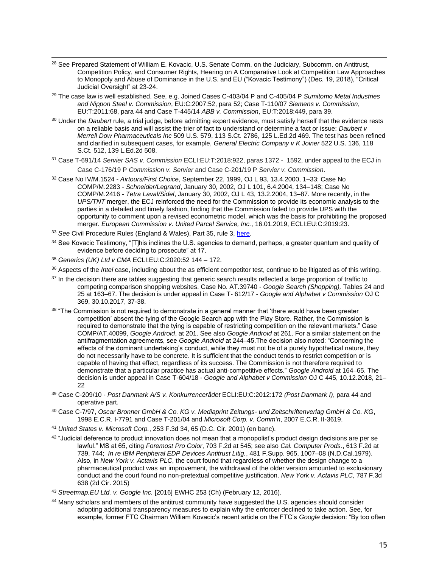- <sup>28</sup> See Prepared Statement of William E. Kovacic, U.S. Senate Comm. on the Judiciary, Subcomm. on Antitrust, Competition Policy, and Consumer Rights, Hearing on A Comparative Look at Competition Law Approaches to Monopoly and Abuse of Dominance in the U.S. and EU ("Kovacic Testimony") (Dec. 19, 2018), "Critical Judicial Oversight" at 23-24.
- <sup>29</sup> The case law is well established. See, e.g. Joined Cases C-403/04 P and C-405/04 P *Sumitomo Metal Industries and Nippon Steel v. Commission*, EU:C:2007:52, para 52; Case T‑110/07 *Siemens v. Commission*, EU:T:2011:68, para 44 and Case T-445/14 *ABB v. Commission*, EU:T:2018:449, para 39.
- <sup>30</sup> Under the *Daubert* rule, a trial judge, before admitting expert evidence, must satisfy herself that the evidence rests on a reliable basis and will assist the trier of fact to understand or determine a fact or issue: *Daubert v Merrell Dow Pharmaceuticals Inc* 509 U.S. 579, 113 S.Ct. 2786, 125 L.Ed.2d 469. The test has been refined and clarified in subsequent cases, for example, *General Electric Company v K Joiner* 522 U.S. 136, 118 S.Ct. 512, 139 L.Ed.2d 508.
- <sup>31</sup> Case T-691/14 *Servier SAS v. Commission* ECLI:EU:T:2018:922, paras 1372 1592, under appeal to the ECJ in Case C-176/19 P *Commission v. Servier* and Case C-201/19 P *Servier v. Commission*.
- <sup>32</sup> Case No IV/M.1524 *Airtours/First Choice*, September 22, 1999, OJ L 93, 13.4.2000, 1–33; Case No COMP/M.2283 - *Schneider/Legrand*, January 30, 2002, OJ L 101, 6.4.2004, 134–148; Case No COMP/M.2416 - *Tetra Laval/Sidel*, January 30, 2002, OJ L 43, 13.2.2004, 13–87. More recently, in the *UPS/TNT* merger, the ECJ reinforced the need for the Commission to provide its economic analysis to the parties in a detailed and timely fashion, finding that the Commission failed to provide UPS with the opportunity to comment upon a revised econometric model, which was the basis for prohibiting the proposed merger. *European Commission v. United Parcel Service, Inc.*, 16.01.2019, ECLI:EU:C:2019:23.
- <sup>33</sup> *See* Civil Procedure Rules (England & Wales), Part 35, rule 3, [here.](https://www.justice.gov.uk/courts/procedure-rules/civil/rules/part35#IDASLICC)
- 34 See Kovacic Testimony, "[T]his inclines the U.S. agencies to demand, perhaps, a greater quantum and quality of evidence before deciding to prosecute" at 17.
- <sup>35</sup> *Generics (UK) Ltd v CMA* ECLI:EU:C:2020:52 144 172.
- <sup>36</sup> Aspects of the *Intel* case, including about the as efficient competitor test, continue to be litigated as of this writing.
- <sup>37</sup> In the decision there are tables suggesting that generic search results reflected a large proportion of traffic to competing comparison shopping websites. Case No. AT.39740 - *Google Search (Shopping),* Tables 24 and 25 at 163–67. The decision is under appeal in Case T- 612/17 - *Google and Alphabet v Commission* OJ C 369, 30.10.2017, 37-38.
- 38 "The Commission is not required to demonstrate in a general manner that 'there would have been greater competition' absent the tying of the Google Search app with the Play Store. Rather, the Commission is required to demonstrate that the tying is capable of restricting competition on the relevant markets." Case COMP/AT.40099, *Google Android*, at 201. See also *Google Android* at 261. For a similar statement on the antifragmentation agreements, see *Google Android* at 244–45.The decision also noted: "Concerning the effects of the dominant undertaking's conduct, while they must not be of a purely hypothetical nature, they do not necessarily have to be concrete. It is sufficient that the conduct tends to restrict competition or is capable of having that effect, regardless of its success. The Commission is not therefore required to demonstrate that a particular practice has actual anti-competitive effects." *Google Android* at 164–65. The decision is under appeal in Case T-604/18 - *Google and Alphabet v Commission* OJ C 445, 10.12.2018, 21– 22
- <sup>39</sup> Case C-209/10 *Post Danmark A/S v. Konkurrencerådet* ECLI:EU:C:2012:172 *(Post Danmark I)*, para 44 and operative part.
- <sup>40</sup> Case C-7/97, *Oscar Bronner GmbH & Co. KG v. Mediaprint Zeitungs- und Zeitschriftenverlag GmbH & Co. KG*, 1998 E.C.R. I-7791 and Case T-201/04 and *Microsoft Corp. v. Comm'n*, 2007 E.C.R. II-3619.
- <sup>41</sup> *United States v. Microsoft Corp.*, 253 F.3d 34, 65 (D.C. Cir. 2001) (en banc).
- <sup>42</sup> "Judicial deference to product innovation does not mean that a monopolist's product design decisions are per se lawful." MS at 65, citing *Foremost Pro Color*, 703 F.2d at 545; see also *Cal. Computer Prods.*, 613 F.2d at 739, 744; *In re IBM Peripheral EDP Devices Antitrust Litig.*, 481 F.Supp. 965, 1007–08 (N.D.Cal.1979). Also, in *New York v. Actavis PLC*, the court found that regardless of whether the design change to a pharmaceutical product was an improvement, the withdrawal of the older version amounted to exclusionary conduct and the court found no non-pretextual competitive justification. *New York v. Actavis PLC*, 787 F.3d 638 (2d Cir. 2015)
- <sup>43</sup> *Streetmap.EU Ltd. v. Google Inc.* [2016] EWHC 253 (Ch) (February 12, 2016).
- 44 Many scholars and members of the antitrust community have suggested the U.S. agencies should consider adopting additional transparency measures to explain why the enforcer declined to take action. See, for example, former FTC Chairman William Kovacic's recent article on the FTC's *Google* decision: "By too often